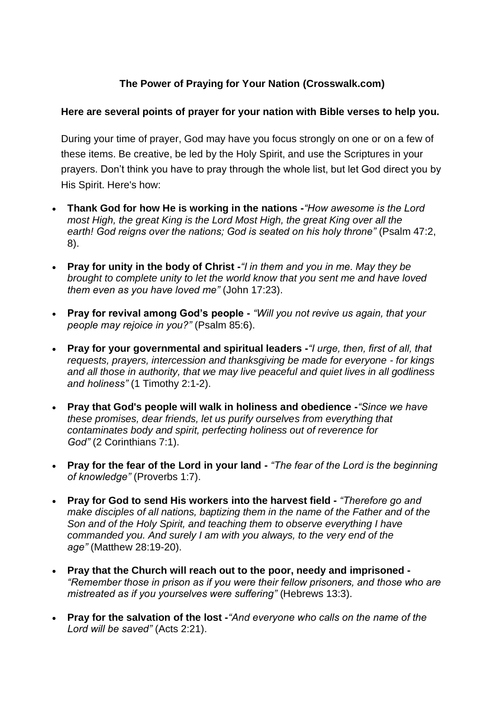## **The Power of Praying for Your Nation (Crosswalk.com)**

## **Here are several points of prayer for your nation with [Bible](https://www.biblestudytools.com/) verses to help you.**

During your time of prayer, God may have you focus strongly on one or on a few of these items. Be creative, be led by the Holy Spirit, and use the Scriptures in your prayers. Don't think you have to pray through the whole list, but let God direct you by His Spirit. Here's how:

- **Thank God for how He is working in the nations -***"How awesome is the Lord most High, the great King is the Lord Most High, the great King over all the earth! God reigns over the nations; God is seated on his holy throne"* [\(Psalm 47:2,](https://www.biblestudytools.com/passage/?q=psalm+47:2;+psalm+47:8)  [8\)](https://www.biblestudytools.com/passage/?q=psalm+47:2;+psalm+47:8).
- **Pray for unity in the body of Christ -***"I in them and you in me. May they be brought to complete unity to let the world know that you sent me and have loved them even as you have loved me"* [\(John 17:23\)](https://www.biblestudytools.com/john/17-23.html).
- **Pray for revival among God's people -** *"Will you not revive us again, that your people may rejoice in you?"* [\(Psalm 85:6\)](https://www.biblestudytools.com/psalms/85-6.html).
- **Pray for your governmental and spiritual leaders -***"I urge, then, first of all, that requests, prayers, intercession and thanksgiving be made for everyone - for kings and all those in authority, that we may live peaceful and quiet lives in all godliness and holiness"* (1 [Timothy 2:1-2\)](https://www.biblestudytools.com/1-timothy/passage/?q=1-timothy+2:1-2).
- **Pray that God's people will walk in holiness and obedience -***"Since we have these promises, dear friends, let us purify ourselves from everything that contaminates body and spirit, perfecting holiness out of reverence for God"* (2 Corinthians 7:1).
- **Pray for the fear of the Lord in your land -** *"The fear of the Lord is the beginning of knowledge"* [\(Proverbs 1:7\)](http://www.biblestudytools.com/search/?t=niv&q=pr+1:7).
- **Pray for God to send His workers into the harvest field -** *"Therefore go and make disciples of all nations, baptizing them in the name of the Father and of the Son and of the Holy Spirit, and teaching them to observe everything I have commanded you. And surely I am with you always, to the very end of the age"* [\(Matthew 28:19-20\)](http://www.biblestudytools.com/search/?t=niv&q=mt+28:19-20).
- **Pray that the Church will reach out to the poor, needy and imprisoned -** *"Remember those in prison as if you were their fellow prisoners, and those who are mistreated as if you yourselves were suffering"* [\(Hebrews 13:3\)](http://www.biblestudytools.com/search/?t=niv&q=heb+13:3).
- **Pray for the salvation of the lost -***"And everyone who calls on the name of the Lord will be saved"* [\(Acts 2:21\)](http://www.biblestudytools.com/search/?t=niv&q=ac+2:21).